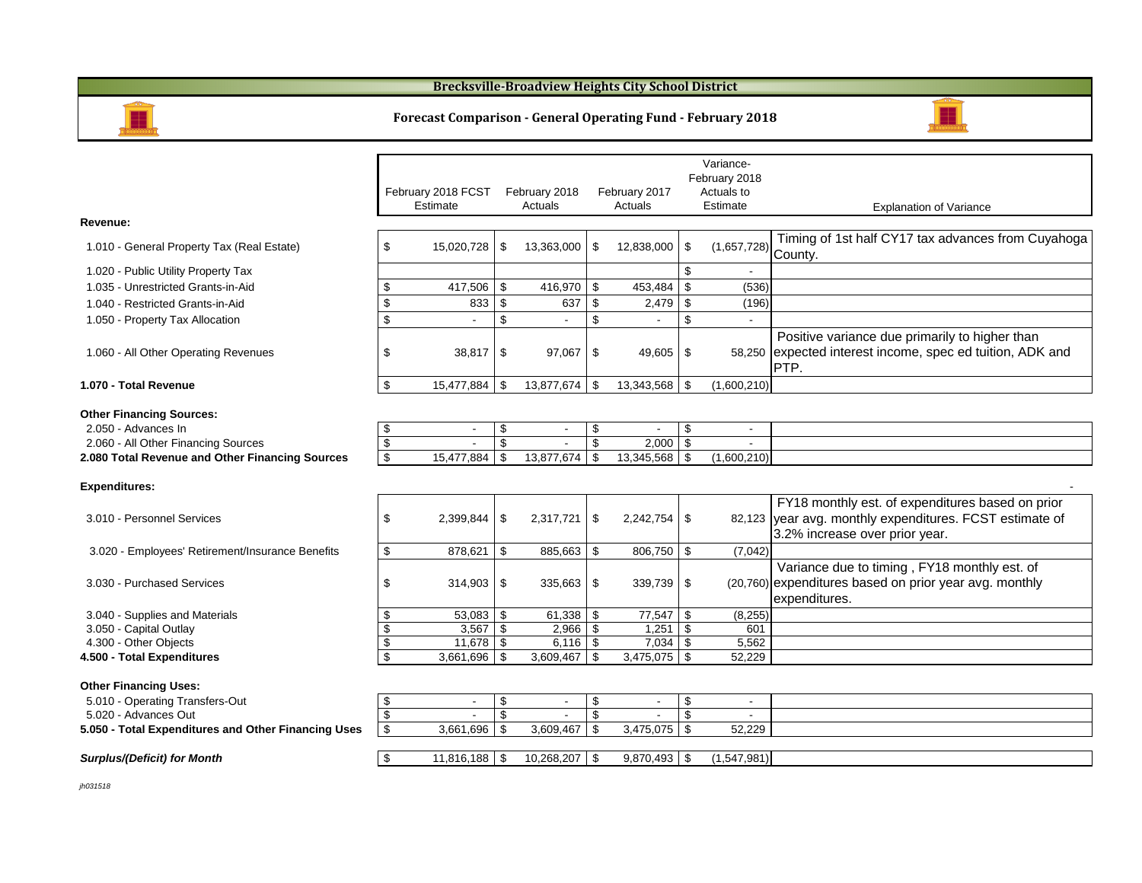| <b>Revenue:</b> |
|-----------------|
|-----------------|

- 1.020 Public Utility Property Tax
- 1.035 Unrestricted Grants-in-Aid
- 1.040 Restricted Grants-in-Aid
- 1.050 Property Tax Allocation

#### **1.070 - Total Revenue**

|                                                                                        |                           | February 2018 FCST<br>Estimate |                                              | February 2018<br><b>Actuals</b> |                                 | February 2017<br>Actuals |                                  | Variance-<br>February 2018<br>Actuals to<br><b>Estimate</b> | <b>Explanation of Variance</b>                                                                                                                |
|----------------------------------------------------------------------------------------|---------------------------|--------------------------------|----------------------------------------------|---------------------------------|---------------------------------|--------------------------|----------------------------------|-------------------------------------------------------------|-----------------------------------------------------------------------------------------------------------------------------------------------|
| Revenue:                                                                               |                           |                                |                                              |                                 |                                 |                          |                                  |                                                             |                                                                                                                                               |
| 1.010 - General Property Tax (Real Estate)                                             | S                         | 15,020,728                     | \$                                           | 13,363,000                      | \$                              | 12,838,000               | \$                               | $(1,657,728)$ County.                                       | Timing of 1st half CY17 tax advances from Cuyahoga                                                                                            |
| 1.020 - Public Utility Property Tax                                                    |                           |                                |                                              |                                 |                                 |                          | $\mathfrak{S}$                   |                                                             |                                                                                                                                               |
| 1.035 - Unrestricted Grants-in-Aid                                                     | S                         | 417,506                        | $\mathfrak{F}$                               | 416,970                         | $\mathfrak{F}$                  | 453,484                  | $\boldsymbol{\mathcal{S}}$       | (536)                                                       |                                                                                                                                               |
| 1.040 - Restricted Grants-in-Aid                                                       | \$                        | 833                            | \$                                           | 637                             | \$                              | 2,479                    | $\boldsymbol{\mathsf{\$}}$       | (196)                                                       |                                                                                                                                               |
| 1.050 - Property Tax Allocation                                                        | $\mathcal{L}$             |                                | $\sqrt[6]{\frac{1}{2}}$                      |                                 | $\boldsymbol{\mathsf{S}}$       |                          | $\mathfrak{S}$                   |                                                             |                                                                                                                                               |
| 1.060 - All Other Operating Revenues                                                   | -S                        |                                |                                              | 97,067                          | -\$                             | $49,605$ \ \$            |                                  |                                                             | Positive variance due primarily to higher than<br>58,250 expected interest income, spec ed tuition, ADK and<br>PTP.                           |
| 1.070 - Total Revenue                                                                  | $\boldsymbol{\mathsf{S}}$ | 15,477,884                     | $\sqrt[6]{\frac{1}{2}}$                      |                                 |                                 |                          |                                  | (1,600,210)                                                 |                                                                                                                                               |
| <b>Other Financing Sources:</b>                                                        |                           |                                |                                              |                                 |                                 |                          |                                  |                                                             |                                                                                                                                               |
| 2.050 - Advances In                                                                    | \$<br>\$                  |                                | $\boldsymbol{\mathsf{\$}}$<br>$\mathfrak{L}$ |                                 | \$<br>$\boldsymbol{\mathsf{S}}$ | 2,000                    | $\mathfrak{F}$<br>$\mathfrak{F}$ |                                                             |                                                                                                                                               |
| 2.060 - All Other Financing Sources<br>2.080 Total Revenue and Other Financing Sources | $\overline{\mathcal{S}}$  | 15,477,884                     | \$                                           | 13,877,674                      | $\boldsymbol{\mathsf{\$}}$      | $13,345,568$   \$        |                                  | (1,600,210)                                                 |                                                                                                                                               |
| <b>Expenditures:</b>                                                                   |                           |                                |                                              |                                 |                                 |                          |                                  |                                                             |                                                                                                                                               |
| 3.010 - Personnel Services                                                             | \$                        | 2,399,844                      | \$                                           | $2,317,721$ \$                  |                                 |                          |                                  |                                                             | FY18 monthly est. of expenditures based on prior<br>82,123 year avg. monthly expenditures. FCST estimate of<br>3.2% increase over prior year. |
| 3.020 - Employees' Retirement/Insurance Benefits                                       | \$                        | 878,621                        | $\mathfrak{F}$                               | 885,663                         | $\frac{1}{2}$                   | $806,750$ \\$            |                                  | (7,042)                                                     |                                                                                                                                               |
| 3.030 - Purchased Services                                                             | \$                        | $314,903$   \$                 |                                              | $335,663$   \$                  |                                 |                          |                                  |                                                             | Variance due to timing, FY18 monthly est. of<br>(20,760) expenditures based on prior year avg. monthly                                        |

to timing, FY18 monthly est. of  $(20,760)$  expenditures based on prior year avg. monthly expenditures.

#### **Other Financing Sources:**

3.040 - Supplies and Materials  $\begin{array}{|c|c|c|c|c|c|}\n\hline\n8&&53,083&\text{\$}&61,338&\text{\$}&77,547&\text{\$}&(8,255) \\
\hline\n3.050 &\text{Capital Outlay}&&&\text{\$}&3,567&\text{\$}&2,966&\text{\$}&1,251&\text{\$}&601 \\
\hline\n\end{array}$ 

- 3.050 Capital Outlay  $\sqrt{$}$   $\sqrt{$}$  3,567  $\sqrt{$}$  2,966  $\sqrt{$}$  1,251  $\sqrt{$}$  601
- 4.300 Other Objects  $\sqrt{$}$  11,678  $\sqrt{$}$  6,116  $\sqrt{$}$  7,034  $\sqrt{$}$  5,562

## **4.500 - Total Expenditures 8.600 - 10.413 1.500 - 10.413 1.500 - 10.413 1.500 - 10.413 1.500 - 10.414 1.500 - 10.415,075 | \$ 52,229**

#### **Other Financing Uses:**

| 5.010 - Operating Transfers-Out                     |
|-----------------------------------------------------|
| 5.020 - Advances Out                                |
| 5.050 - Total Expenditures and Other Financing Uses |

| <b>Other Financing Uses:</b>                        |                          |           |                           |             |  |
|-----------------------------------------------------|--------------------------|-----------|---------------------------|-------------|--|
| 5.010 - Operating Transfers-Out                     | $\overline{\phantom{0}}$ |           |                           |             |  |
| 5.020 - Advances Out                                | $\overline{\phantom{0}}$ |           |                           |             |  |
| 5.050 - Total Expenditures and Other Financing Uses | 3,661,696                | 3,609,467 | $3,475,075$   \$          | 52,229      |  |
|                                                     |                          |           |                           |             |  |
| <b>Surplus/(Deficit) for Month</b>                  | 11,816,188               |           | $9,870,493$ $\frac{8}{3}$ | (1,547,981) |  |
|                                                     |                          |           |                           |             |  |

*jh031518*

| ____ | ______ |  |
|------|--------|--|
|      | ___    |  |
|      | ____   |  |
|      |        |  |
|      |        |  |

### Explanation of Variance

#### **Forecast Comparison - General Operating Fund - February 2018**

#### **Brecksville-Broadview Heights City School District**

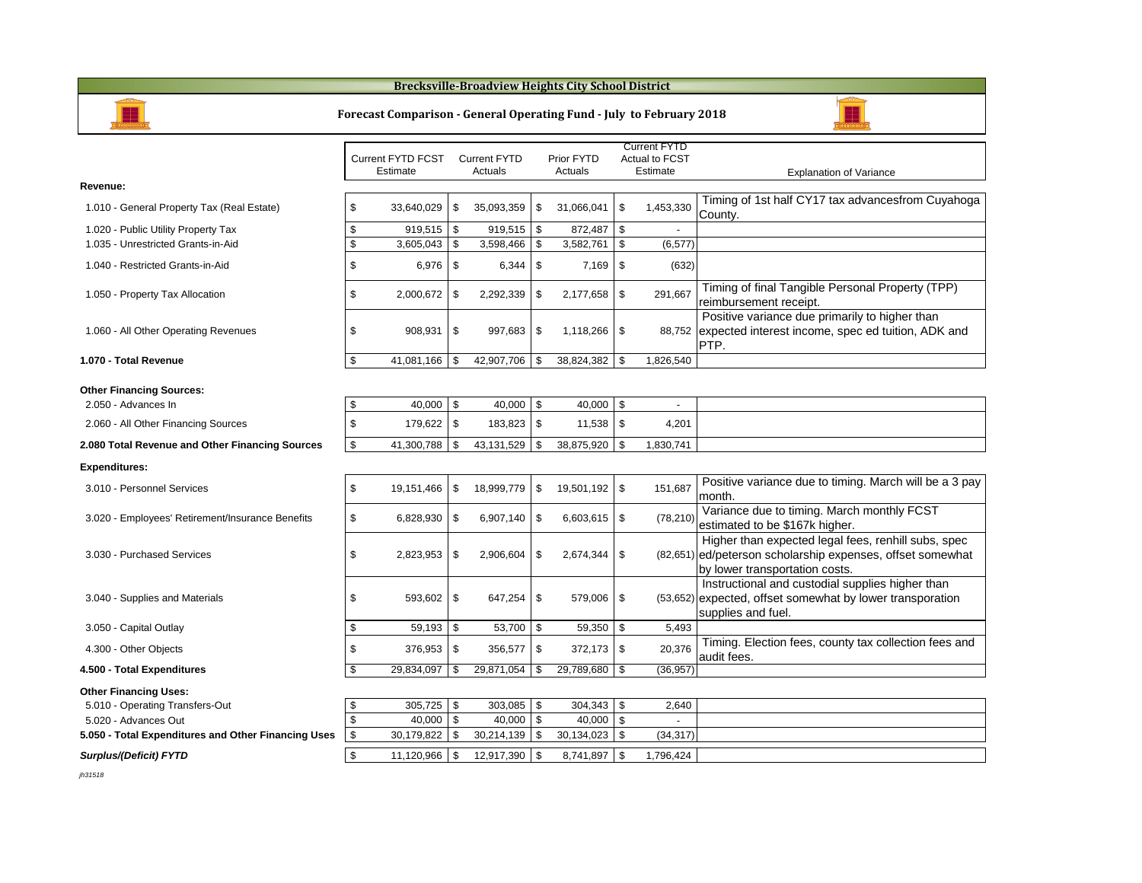Variance-



- nal Tangible Personal Property (TPP) ent receipt.
- iance due primarily to higher than erest income, spec ed tuition, ADK and

iance due to timing. March will be a 3 pay

- ae to timing. March monthly FCST be \$167k higher.
- expected legal fees, renhill subs, spec scholarship expenses, offset somewhat sportation costs.
- i and custodial supplies higher than fset somewhat by lower transporation fuel.

ction fees, county tax collection fees and

|                                                     |                       | <b>Current FYTD FCST</b><br><b>Estimate</b> |                            | <b>Current FYTD</b><br><b>Actuals</b> |                            | <b>Prior FYTD</b><br>Actuals |                            | <b>Current FYTD</b><br><b>Actual to FCST</b><br><b>Estimate</b> |                                                           |
|-----------------------------------------------------|-----------------------|---------------------------------------------|----------------------------|---------------------------------------|----------------------------|------------------------------|----------------------------|-----------------------------------------------------------------|-----------------------------------------------------------|
| Revenue:                                            |                       |                                             |                            |                                       |                            |                              |                            |                                                                 |                                                           |
| 1.010 - General Property Tax (Real Estate)          | \$                    | 33,640,029                                  | \$                         | 35,093,359                            | \$                         | 31,066,041                   | $\mathfrak{S}$             | 1,453,330                                                       | Timing of 1s <sup>-</sup><br>County.                      |
| 1.020 - Public Utility Property Tax                 | \$                    | 919,515                                     | \$                         | 919,515                               | $\boldsymbol{\mathsf{S}}$  | 872,487                      | $\boldsymbol{\mathsf{\$}}$ |                                                                 |                                                           |
| 1.035 - Unrestricted Grants-in-Aid                  | \$                    | 3,605,043                                   | \$                         | 3,598,466                             | \$                         | 3,582,761                    | $\$\$                      | (6, 577)                                                        |                                                           |
| 1.040 - Restricted Grants-in-Aid                    | \$                    | 6,976                                       | \$                         | 6,344                                 | \$                         | 7,169                        | \$                         | (632)                                                           |                                                           |
| 1.050 - Property Tax Allocation                     | \$                    | 2,000,672                                   | \$                         | 2,292,339                             | $\boldsymbol{\mathsf{\$}}$ | 2,177,658                    | $\mathfrak{F}$             | 291,667                                                         | Timing of fina<br>reimburseme                             |
| 1.060 - All Other Operating Revenues                | \$                    | 908,931                                     | \$                         | 997,683                               | \$                         | 1,118,266                    | \$                         | 88,752                                                          | Positive varia<br>expected inte<br>PTP.                   |
| 1.070 - Total Revenue                               | \$                    | 41,081,166                                  | \$                         | 42,907,706                            | $\boldsymbol{\mathcal{S}}$ | 38,824,382                   | $\mathfrak{L}$             | 1,826,540                                                       |                                                           |
| <b>Other Financing Sources:</b>                     |                       |                                             |                            |                                       |                            |                              |                            |                                                                 |                                                           |
| 2.050 - Advances In                                 | \$                    | 40,000                                      | $\$\$                      | 40,000                                | $\boldsymbol{\theta}$      | 40,000                       | $\boldsymbol{\mathsf{\$}}$ |                                                                 |                                                           |
| 2.060 - All Other Financing Sources                 | \$                    | 179,622                                     | \$                         | 183,823                               | \$                         | 11,538                       | \$                         | 4,201                                                           |                                                           |
| 2.080 Total Revenue and Other Financing Sources     | \$                    | 41,300,788                                  | \$                         | 43,131,529                            | $\boldsymbol{\mathsf{\$}}$ | 38,875,920                   | $\$\$                      | 1,830,741                                                       |                                                           |
| <b>Expenditures:</b>                                |                       |                                             |                            |                                       |                            |                              |                            |                                                                 |                                                           |
| 3.010 - Personnel Services                          | \$                    | 19,151,466                                  | \$                         | 18,999,779                            | $\boldsymbol{\mathsf{\$}}$ | 19,501,192                   | $\boldsymbol{\mathsf{S}}$  | 151,687                                                         | Positive varia<br>month.                                  |
| 3.020 - Employees' Retirement/Insurance Benefits    | \$                    | 6,828,930                                   | \$                         | 6,907,140                             | $\boldsymbol{\mathsf{\$}}$ | 6,603,615                    | \$                         | (78, 210)                                                       | Variance due<br>estimated to                              |
| 3.030 - Purchased Services                          | \$                    | 2,823,953                                   | \$                         | 2,906,604                             | \$                         | 2,674,344                    | $\boldsymbol{\mathsf{S}}$  |                                                                 | Higher than<br>$(82,651)$ ed/peterson s<br>by lower trans |
| 3.040 - Supplies and Materials                      | \$                    | 593,602                                     | \$                         | 647,254                               | \$                         | 579,006                      | \$                         |                                                                 | Instructional<br>$(53,652)$ expected, off<br>supplies and |
| 3.050 - Capital Outlay                              | \$                    | 59,193                                      | $\frac{1}{2}$              | 53,700                                | $\boldsymbol{\mathsf{\$}}$ | 59,350                       | $\frac{1}{2}$              | 5,493                                                           |                                                           |
| 4.300 - Other Objects                               | \$                    | 376,953                                     | \$                         | 356,577                               | \$                         | 372,173                      | \$                         | 20,376                                                          | Timing. Elec<br>audit fees.                               |
| 4.500 - Total Expenditures                          | \$                    | 29,834,097                                  | \$                         | 29,871,054                            | $\boldsymbol{\mathsf{\$}}$ | 29,789,680                   | $\boldsymbol{\mathsf{S}}$  | (36, 957)                                                       |                                                           |
| <b>Other Financing Uses:</b>                        |                       |                                             |                            |                                       |                            |                              |                            |                                                                 |                                                           |
| 5.010 - Operating Transfers-Out                     | \$                    | 305,725                                     | $\$\$                      | 303,085                               | $\boldsymbol{\theta}$      | 304,343                      | $\frac{1}{2}$              | 2,640                                                           |                                                           |
| 5.020 - Advances Out                                | \$                    | 40,000                                      | $\boldsymbol{\mathcal{S}}$ | 40,000                                | \$                         | 40,000                       | $\$\$                      |                                                                 |                                                           |
| 5.050 - Total Expenditures and Other Financing Uses | $\boldsymbol{\theta}$ | 30,179,822                                  | \$                         | 30,214,139                            | \$                         | 30,134,023                   | $\boldsymbol{\mathsf{S}}$  | (34, 317)                                                       |                                                           |
| <b>Surplus/(Deficit) FYTD</b>                       | \$                    | 11,120,966                                  | $\boldsymbol{\mathsf{S}}$  | 12,917,390                            | $\boldsymbol{\mathcal{L}}$ | 8,741,897                    | $\boldsymbol{\mathsf{\$}}$ | 1,796,424                                                       |                                                           |

*jh31518*

## **Brecksville-Broadview Heights City School District**

## **Forecast Comparison - General Operating Fund - July to February 2018**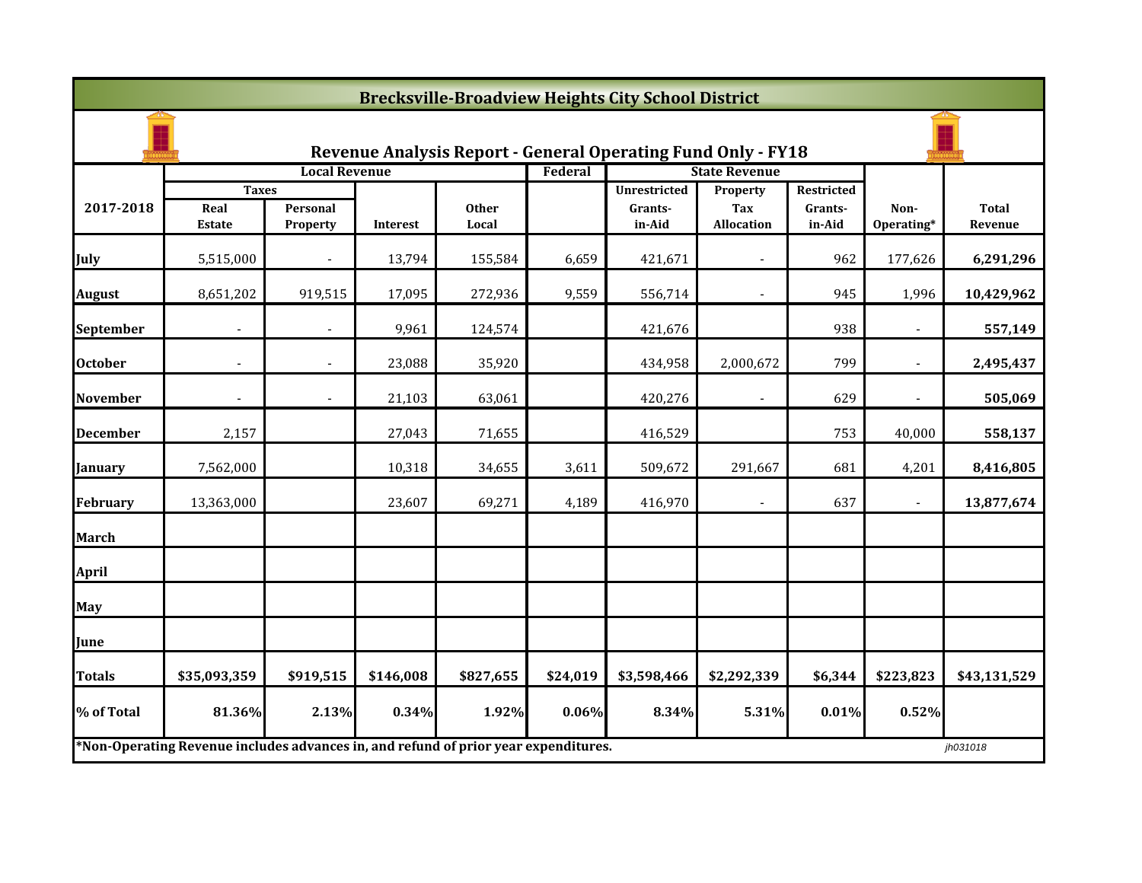|                  | <b>Brecksville-Broadview Heights City School District</b>                           |                             |                 |                       |          |                                                                     |                          |                   |                    |                         |  |  |
|------------------|-------------------------------------------------------------------------------------|-----------------------------|-----------------|-----------------------|----------|---------------------------------------------------------------------|--------------------------|-------------------|--------------------|-------------------------|--|--|
|                  |                                                                                     |                             |                 |                       |          | <b>Revenue Analysis Report - General Operating Fund Only - FY18</b> |                          |                   |                    |                         |  |  |
|                  |                                                                                     | <b>Local Revenue</b>        |                 |                       | Federal  |                                                                     | <b>State Revenue</b>     |                   |                    |                         |  |  |
|                  | <b>Taxes</b>                                                                        |                             |                 |                       |          | <b>Unrestricted</b>                                                 | <b>Property</b>          | <b>Restricted</b> |                    |                         |  |  |
| 2017-2018        | Real<br><b>Estate</b>                                                               | Personal<br><b>Property</b> | <b>Interest</b> | <b>Other</b><br>Local |          | Grants-<br>in-Aid                                                   | Tax<br>Allocation        | Grants-<br>in-Aid | Non-<br>Operating* | <b>Total</b><br>Revenue |  |  |
| July             | 5,515,000                                                                           |                             | 13,794          | 155,584               | 6,659    | 421,671                                                             |                          | 962               | 177,626            | 6,291,296               |  |  |
| <b>August</b>    | 8,651,202                                                                           | 919,515                     | 17,095          | 272,936               | 9,559    | 556,714                                                             |                          | 945               | 1,996              | 10,429,962              |  |  |
| <b>September</b> |                                                                                     |                             | 9,961           | 124,574               |          | 421,676                                                             |                          | 938               |                    | 557,149                 |  |  |
| <b>October</b>   |                                                                                     |                             | 23,088          | 35,920                |          | 434,958                                                             | 2,000,672                | 799               |                    | 2,495,437               |  |  |
| <b>November</b>  | $\sim$                                                                              | $\blacksquare$              | 21,103          | 63,061                |          | 420,276                                                             |                          | 629               |                    | 505,069                 |  |  |
| <b>December</b>  | 2,157                                                                               |                             | 27,043          | 71,655                |          | 416,529                                                             |                          | 753               | 40,000             | 558,137                 |  |  |
| <b>January</b>   | 7,562,000                                                                           |                             | 10,318          | 34,655                | 3,611    | 509,672                                                             | 291,667                  | 681               | 4,201              | 8,416,805               |  |  |
| <b>February</b>  | 13,363,000                                                                          |                             | 23,607          | 69,271                | 4,189    | 416,970                                                             | $\overline{\phantom{a}}$ | 637               |                    | 13,877,674              |  |  |
| <b>March</b>     |                                                                                     |                             |                 |                       |          |                                                                     |                          |                   |                    |                         |  |  |
| <b>April</b>     |                                                                                     |                             |                 |                       |          |                                                                     |                          |                   |                    |                         |  |  |
| <b>May</b>       |                                                                                     |                             |                 |                       |          |                                                                     |                          |                   |                    |                         |  |  |
| June             |                                                                                     |                             |                 |                       |          |                                                                     |                          |                   |                    |                         |  |  |
| <b>Totals</b>    | \$35,093,359                                                                        | \$919,515                   | \$146,008       | \$827,655             | \$24,019 | \$3,598,466                                                         | \$2,292,339              | \$6,344           | \$223,823          | \$43,131,529            |  |  |
| % of Total       | 81.36%                                                                              | 2.13%                       | 0.34%           | 1.92%                 | 0.06%    | 8.34%                                                               | 5.31%                    | 0.01%             | 0.52%              |                         |  |  |
|                  | *Non-Operating Revenue includes advances in, and refund of prior year expenditures. |                             |                 |                       |          |                                                                     |                          |                   |                    | jh031018                |  |  |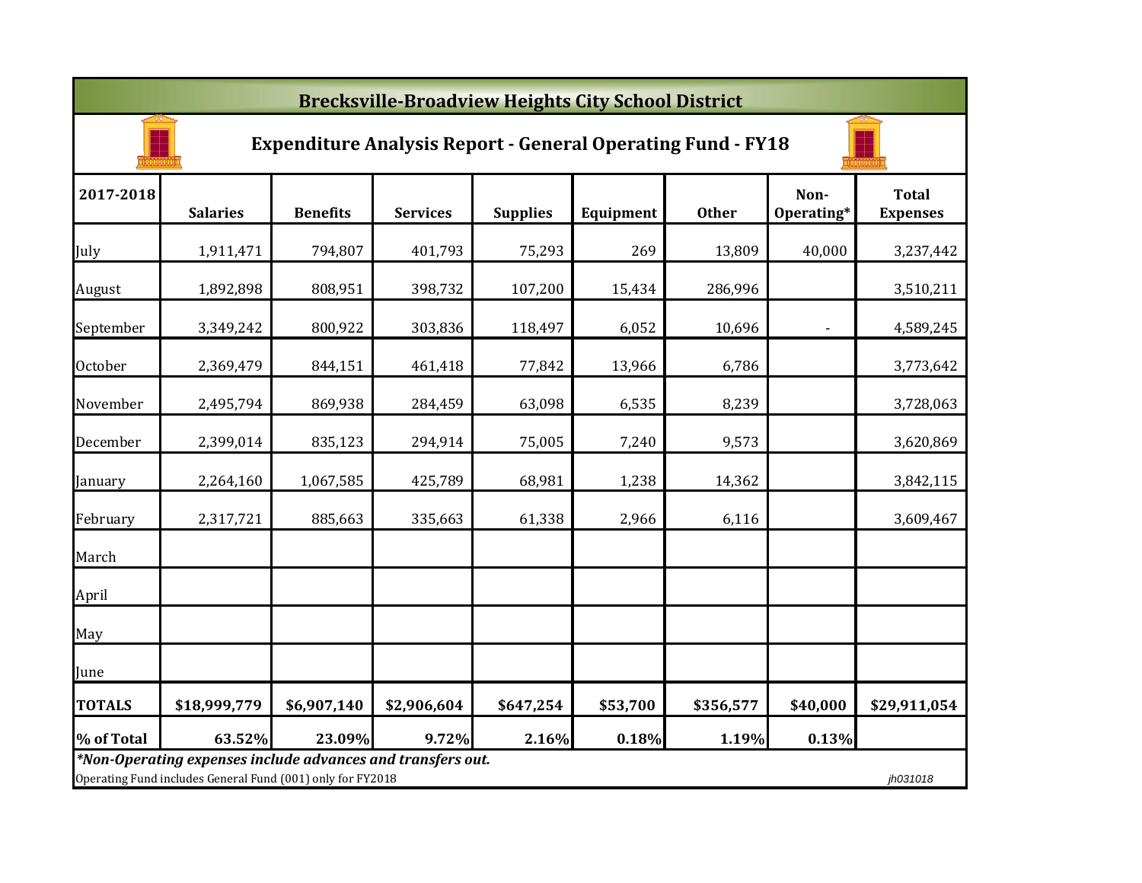|               | <b>Brecksville-Broadview Heights City School District</b>                                                                 |                 |                 |                 |           |              |                    |                                 |  |  |  |  |  |
|---------------|---------------------------------------------------------------------------------------------------------------------------|-----------------|-----------------|-----------------|-----------|--------------|--------------------|---------------------------------|--|--|--|--|--|
|               | <b>Expenditure Analysis Report - General Operating Fund - FY18</b>                                                        |                 |                 |                 |           |              |                    |                                 |  |  |  |  |  |
| 2017-2018     | <b>Salaries</b>                                                                                                           | <b>Benefits</b> | <b>Services</b> | <b>Supplies</b> | Equipment | <b>Other</b> | Non-<br>Operating* | <b>Total</b><br><b>Expenses</b> |  |  |  |  |  |
| July          | 1,911,471                                                                                                                 | 794,807         | 401,793         | 75,293          | 269       | 13,809       | 40,000             | 3,237,442                       |  |  |  |  |  |
| August        | 1,892,898                                                                                                                 | 808,951         | 398,732         | 107,200         | 15,434    | 286,996      |                    | 3,510,211                       |  |  |  |  |  |
| September     | 3,349,242                                                                                                                 | 800,922         | 303,836         | 118,497         | 6,052     | 10,696       | $\blacksquare$     | 4,589,245                       |  |  |  |  |  |
| October       | 2,369,479                                                                                                                 | 844,151         | 461,418         | 77,842          | 13,966    | 6,786        |                    | 3,773,642                       |  |  |  |  |  |
| November      | 2,495,794                                                                                                                 | 869,938         | 284,459         | 63,098          | 6,535     | 8,239        |                    | 3,728,063                       |  |  |  |  |  |
| December      | 2,399,014                                                                                                                 | 835,123         | 294,914         | 75,005          | 7,240     | 9,573        |                    | 3,620,869                       |  |  |  |  |  |
| January       | 2,264,160                                                                                                                 | 1,067,585       | 425,789         | 68,981          | 1,238     | 14,362       |                    | 3,842,115                       |  |  |  |  |  |
| February      | 2,317,721                                                                                                                 | 885,663         | 335,663         | 61,338          | 2,966     | 6,116        |                    | 3,609,467                       |  |  |  |  |  |
| March         |                                                                                                                           |                 |                 |                 |           |              |                    |                                 |  |  |  |  |  |
| April         |                                                                                                                           |                 |                 |                 |           |              |                    |                                 |  |  |  |  |  |
| May           |                                                                                                                           |                 |                 |                 |           |              |                    |                                 |  |  |  |  |  |
| June          |                                                                                                                           |                 |                 |                 |           |              |                    |                                 |  |  |  |  |  |
| <b>TOTALS</b> | \$18,999,779                                                                                                              | \$6,907,140     | \$2,906,604     | \$647,254       | \$53,700  | \$356,577    | \$40,000           | \$29,911,054                    |  |  |  |  |  |
| % of Total    | 63.52%                                                                                                                    | 23.09%          | 9.72%           | 2.16%           | 0.18%     | 1.19%        | 0.13%              |                                 |  |  |  |  |  |
|               | *Non-Operating expenses include advances and transfers out.<br>Operating Fund includes General Fund (001) only for FY2018 |                 |                 |                 |           |              |                    | jh031018                        |  |  |  |  |  |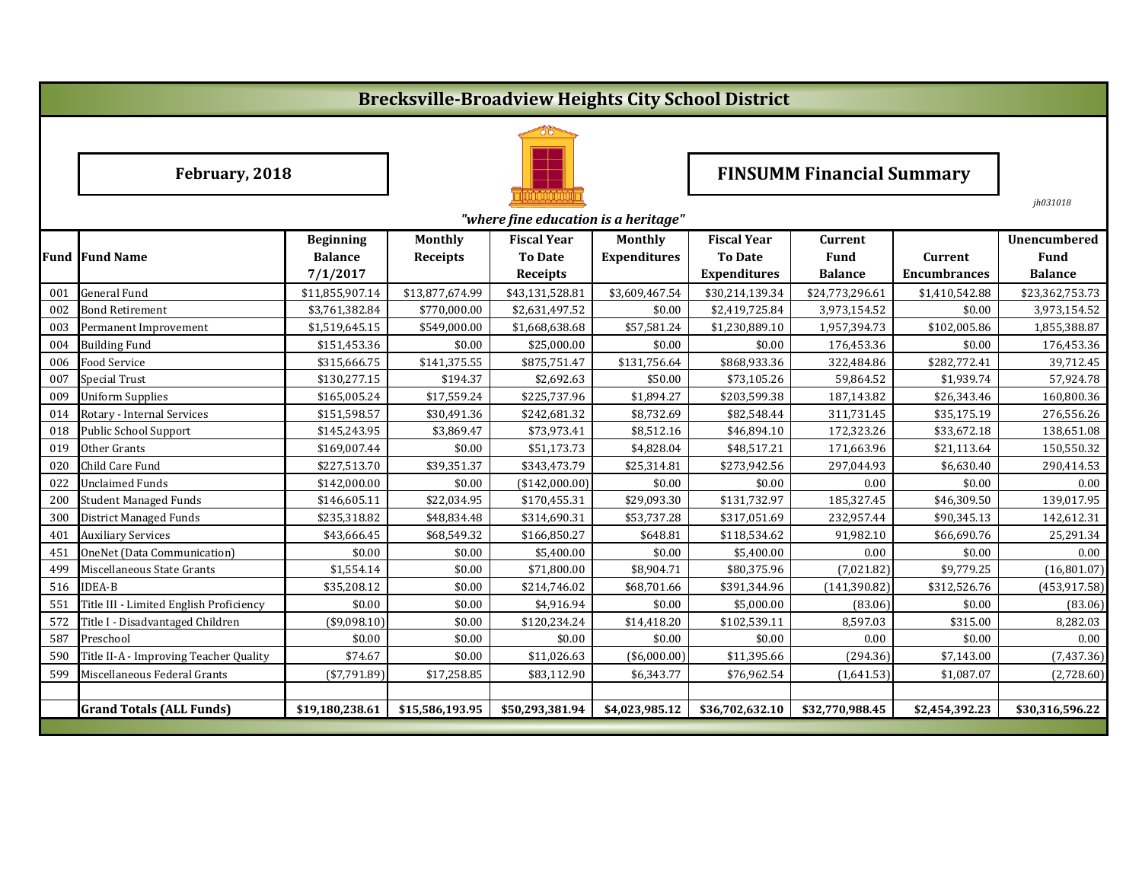# **Brecksville-Broadview Heights City School District**



February, 2018 **Find Telecom Property FINSUMM Financial Summary** 

*jh031018*

|     | "where fine education is a heritage"    |                  |                 |                    |                     |                     |                 |                     |                     |  |  |
|-----|-----------------------------------------|------------------|-----------------|--------------------|---------------------|---------------------|-----------------|---------------------|---------------------|--|--|
|     |                                         | <b>Beginning</b> | <b>Monthly</b>  | <b>Fiscal Year</b> | <b>Monthly</b>      | <b>Fiscal Year</b>  | <b>Current</b>  |                     | <b>Unencumbered</b> |  |  |
|     | <b>Fund Fund Name</b>                   | <b>Balance</b>   | Receipts        | <b>To Date</b>     | <b>Expenditures</b> | <b>To Date</b>      | <b>Fund</b>     | <b>Current</b>      | <b>Fund</b>         |  |  |
|     |                                         | 7/1/2017         |                 | <b>Receipts</b>    |                     | <b>Expenditures</b> | <b>Balance</b>  | <b>Encumbrances</b> | <b>Balance</b>      |  |  |
| 001 | <b>General Fund</b>                     | \$11,855,907.14  | \$13,877,674.99 | \$43,131,528.81    | \$3,609,467.54      | \$30,214,139.34     | \$24,773,296.61 | \$1,410,542.88      | \$23,362,753.73     |  |  |
| 002 | <b>Bond Retirement</b>                  | \$3,761,382.84   | \$770,000.00    | \$2,631,497.52     | \$0.00              | \$2,419,725.84      | 3,973,154.52    | \$0.00              | 3,973,154.52        |  |  |
| 003 | Permanent Improvement                   | \$1,519,645.15   | \$549,000.00    | \$1,668,638.68     | \$57,581.24         | \$1,230,889.10      | 1,957,394.73    | \$102,005.86        | 1,855,388.87        |  |  |
| 004 | <b>Building Fund</b>                    | \$151,453.36     | \$0.00          | \$25,000.00        | \$0.00              | \$0.00              | 176,453.36      | \$0.00              | 176,453.36          |  |  |
| 006 | <b>Food Service</b>                     | \$315,666.75     | \$141,375.55    | \$875,751.47       | \$131,756.64        | \$868,933.36        | 322,484.86      | \$282,772.41        | 39,712.45           |  |  |
| 007 | <b>Special Trust</b>                    | \$130,277.15     | \$194.37        | \$2,692.63         | \$50.00             | \$73,105.26         | 59,864.52       | \$1,939.74          | 57,924.78           |  |  |
| 009 | <b>Uniform Supplies</b>                 | \$165,005.24     | \$17,559.24     | \$225,737.96       | \$1,894.27          | \$203,599.38        | 187,143.82      | \$26,343.46         | 160,800.36          |  |  |
| 014 | Rotary - Internal Services              | \$151,598.57     | \$30,491.36     | \$242,681.32       | \$8,732.69          | \$82,548.44         | 311,731.45      | \$35,175.19         | 276,556.26          |  |  |
| 018 | Public School Support                   | \$145,243.95     | \$3,869.47      | \$73,973.41        | \$8,512.16          | \$46,894.10         | 172,323.26      | \$33,672.18         | 138,651.08          |  |  |
| 019 | Other Grants                            | \$169,007.44     | \$0.00          | \$51,173.73        | \$4,828.04          | \$48,517.21         | 171,663.96      | \$21,113.64         | 150,550.32          |  |  |
| 020 | Child Care Fund                         | \$227,513.70     | \$39,351.37     | \$343,473.79       | \$25,314.81         | \$273,942.56        | 297,044.93      | \$6,630.40          | 290,414.53          |  |  |
| 022 | <b>Unclaimed Funds</b>                  | \$142,000.00     | \$0.00          | (\$142,000.00)     | \$0.00              | \$0.00              | 0.00            | \$0.00              | 0.00                |  |  |
| 200 | <b>Student Managed Funds</b>            | \$146,605.11     | \$22,034.95     | \$170,455.31       | \$29,093.30         | \$131,732.97        | 185,327.45      | \$46,309.50         | 139,017.95          |  |  |
| 300 | <b>District Managed Funds</b>           | \$235,318.82     | \$48,834.48     | \$314,690.31       | \$53,737.28         | \$317,051.69        | 232,957.44      | \$90,345.13         | 142,612.31          |  |  |
| 401 | <b>Auxiliary Services</b>               | \$43,666.45      | \$68,549.32     | \$166,850.27       | \$648.81            | \$118,534.62        | 91,982.10       | \$66,690.76         | 25,291.34           |  |  |
| 451 | <b>OneNet (Data Communication)</b>      | \$0.00           | \$0.00          | \$5,400.00         | \$0.00              | \$5,400.00          | 0.00            | \$0.00              | 0.00                |  |  |
| 499 | Miscellaneous State Grants              | \$1,554.14       | \$0.00          | \$71,800.00        | \$8,904.71          | \$80,375.96         | (7,021.82)      | \$9,779.25          | (16,801.07)         |  |  |
| 516 | <b>IDEA-B</b>                           | \$35,208.12      | \$0.00          | \$214,746.02       | \$68,701.66         | \$391,344.96        | (141, 390.82)   | \$312,526.76        | (453, 917.58)       |  |  |
| 551 | Title III - Limited English Proficiency | \$0.00           | \$0.00          | \$4,916.94         | \$0.00              | \$5,000.00          | (83.06)         | \$0.00              | (83.06)             |  |  |
| 572 | Title I - Disadvantaged Children        | (\$9,098.10)     | \$0.00          | \$120,234.24       | \$14,418.20         | \$102,539.11        | 8,597.03        | \$315.00            | 8,282.03            |  |  |
| 587 | Preschool                               | \$0.00           | \$0.00          | \$0.00             | \$0.00              | \$0.00              | 0.00            | \$0.00              | 0.00                |  |  |
| 590 | Title II-A - Improving Teacher Quality  | \$74.67          | \$0.00          | \$11,026.63        | (\$6,000.00)        | \$11,395.66         | (294.36)        | \$7,143.00          | (7,437.36)          |  |  |
| 599 | Miscellaneous Federal Grants            | $(*7,791.89)$    | \$17,258.85     | \$83,112.90        | \$6,343.77          | \$76,962.54         | (1,641.53)      | \$1,087.07          | (2,728.60)          |  |  |
|     |                                         |                  |                 |                    |                     |                     |                 |                     |                     |  |  |
|     | <b>Grand Totals (ALL Funds)</b>         | \$19,180,238.61  | \$15,586,193.95 | \$50,293,381.94    | \$4,023,985.12      | \$36,702,632.10     | \$32,770,988.45 | \$2,454,392.23      | \$30,316,596.22     |  |  |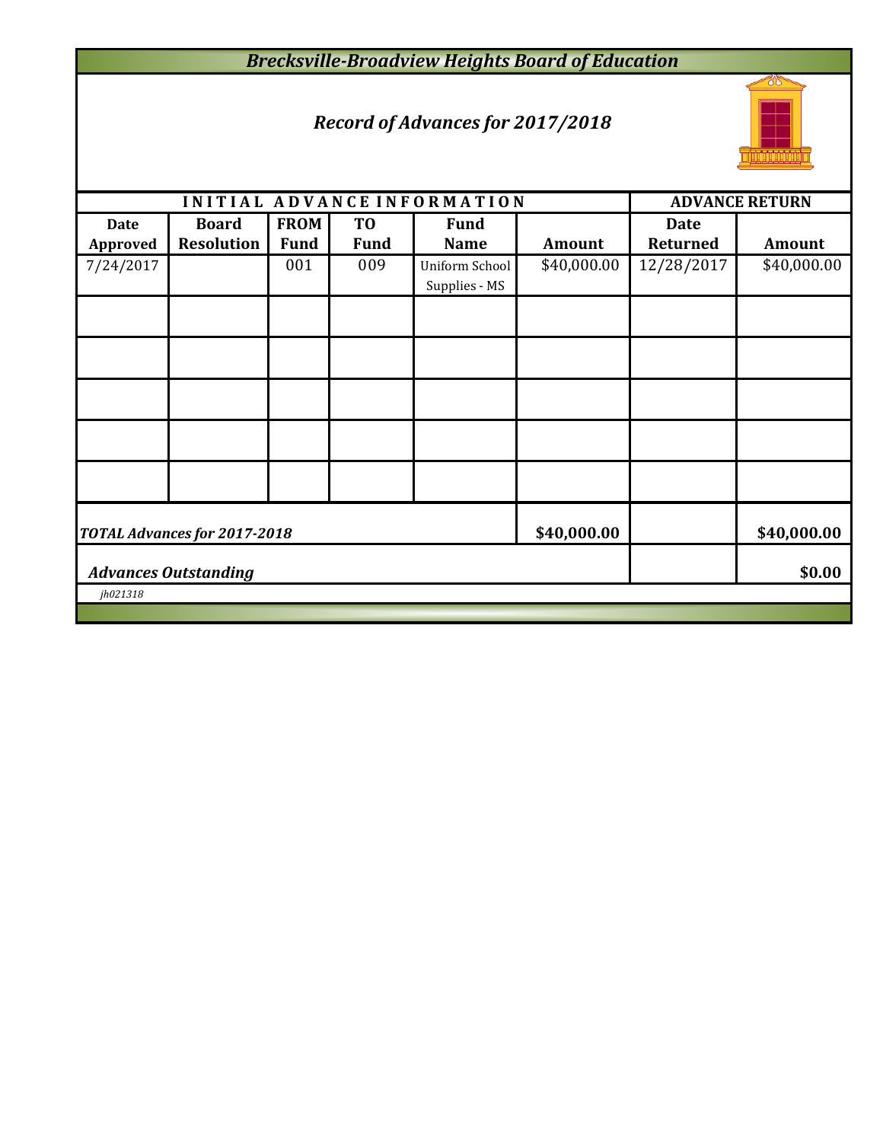# *Brecksville-Broadview Heights Board of Education*

## *Record of Advances for 2017/2018*



|                 |                              |             |                | INITIAL ADVANCE INFORMATION |               |                 | <b>ADVANCE RETURN</b> |  |  |
|-----------------|------------------------------|-------------|----------------|-----------------------------|---------------|-----------------|-----------------------|--|--|
| <b>Date</b>     | <b>Board</b>                 | <b>FROM</b> | T <sub>0</sub> | <b>Fund</b>                 |               | <b>Date</b>     |                       |  |  |
| <b>Approved</b> | <b>Resolution</b>            | <b>Fund</b> | <b>Fund</b>    | <b>Name</b>                 | <b>Amount</b> | <b>Returned</b> | <b>Amount</b>         |  |  |
| 7/24/2017       |                              | 001         | 009            | Uniform School              | \$40,000.00   | 12/28/2017      | \$40,000.00           |  |  |
|                 |                              |             |                | Supplies - MS               |               |                 |                       |  |  |
|                 |                              |             |                |                             |               |                 |                       |  |  |
|                 |                              |             |                |                             |               |                 |                       |  |  |
|                 |                              |             |                |                             |               |                 |                       |  |  |
|                 |                              |             |                |                             |               |                 |                       |  |  |
|                 |                              |             |                |                             |               |                 |                       |  |  |
|                 | TOTAL Advances for 2017-2018 | \$40,000.00 |                | \$40,000.00                 |               |                 |                       |  |  |
|                 | <b>Advances Outstanding</b>  |             | \$0.00         |                             |               |                 |                       |  |  |
| jh021318        |                              |             |                |                             |               |                 |                       |  |  |
|                 |                              |             |                |                             |               |                 |                       |  |  |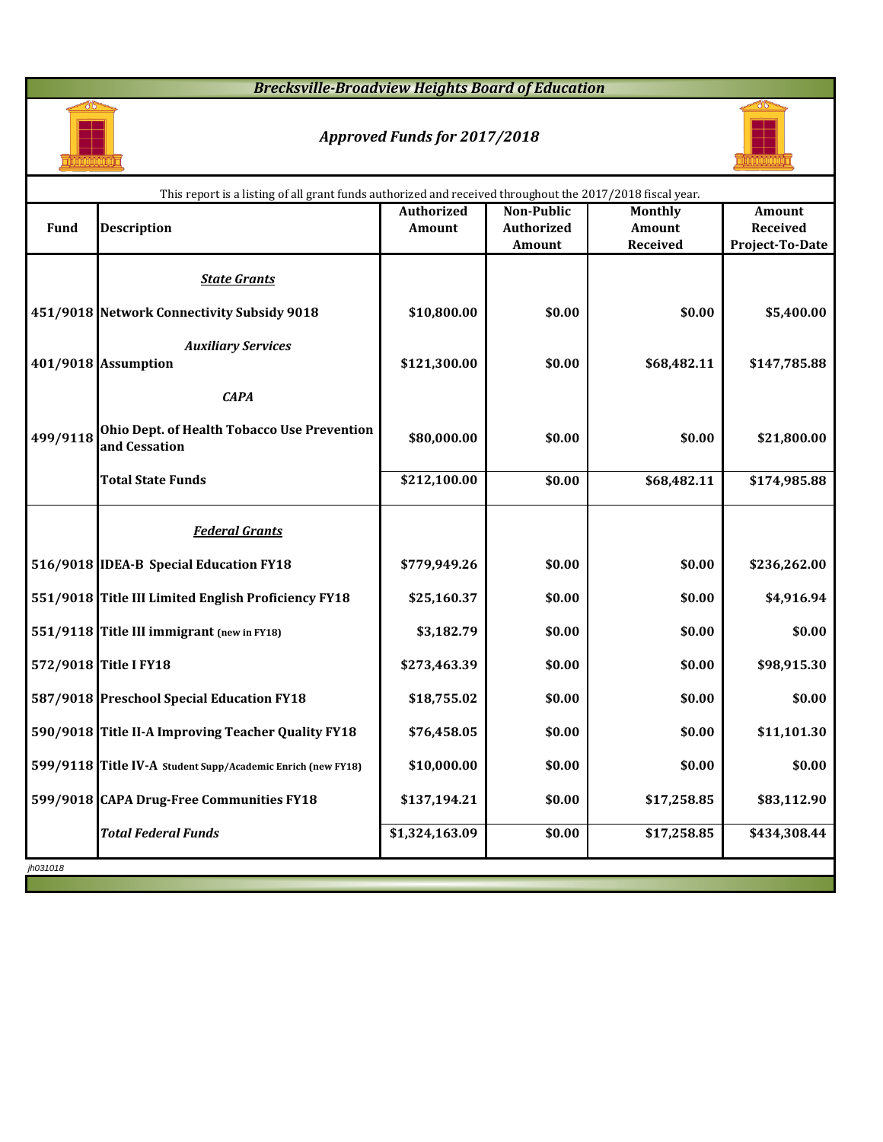# *Brecksville-Broadview Heights Board of Education*



# *Approved Funds for 2017/2018*



|             | This report is a listing of all grant funds authorized and received throughout the 2017/2018 fiscal year. |                   |                   |                 |                 |  |  |  |  |  |  |
|-------------|-----------------------------------------------------------------------------------------------------------|-------------------|-------------------|-----------------|-----------------|--|--|--|--|--|--|
|             |                                                                                                           | <b>Authorized</b> | <b>Non-Public</b> | <b>Monthly</b>  | <b>Amount</b>   |  |  |  |  |  |  |
| <b>Fund</b> | <b>Description</b>                                                                                        | <b>Amount</b>     | <b>Authorized</b> | <b>Amount</b>   | <b>Received</b> |  |  |  |  |  |  |
|             |                                                                                                           |                   | <b>Amount</b>     | <b>Received</b> | Project-To-Date |  |  |  |  |  |  |
|             | <b>State Grants</b>                                                                                       |                   |                   |                 |                 |  |  |  |  |  |  |
|             | 451/9018 Network Connectivity Subsidy 9018                                                                | \$10,800.00       | \$0.00            | \$0.00          | \$5,400.00      |  |  |  |  |  |  |
|             | <b>Auxiliary Services</b><br>401/9018 Assumption                                                          | \$121,300.00      | \$0.00            | \$68,482.11     | \$147,785.88    |  |  |  |  |  |  |
|             | <b>CAPA</b>                                                                                               |                   |                   |                 |                 |  |  |  |  |  |  |
| 499/9118    | <b>Ohio Dept. of Health Tobacco Use Prevention</b><br>and Cessation                                       | \$80,000.00       | \$0.00            | \$0.00          | \$21,800.00     |  |  |  |  |  |  |
|             | <b>Total State Funds</b>                                                                                  | \$212,100.00      | \$0.00            | \$68,482.11     | \$174,985.88    |  |  |  |  |  |  |
|             | <b>Federal Grants</b>                                                                                     |                   |                   |                 |                 |  |  |  |  |  |  |
|             | 516/9018 IDEA-B Special Education FY18                                                                    | \$779,949.26      | \$0.00            | \$0.00          | \$236,262.00    |  |  |  |  |  |  |
|             | 551/9018 Title III Limited English Proficiency FY18                                                       | \$25,160.37       | \$0.00            | \$0.00          | \$4,916.94      |  |  |  |  |  |  |
|             | 551/9118 Title III immigrant (new in FY18)                                                                | \$3,182.79        | \$0.00            | \$0.00          | \$0.00          |  |  |  |  |  |  |
|             | 572/9018 Title I FY18                                                                                     | \$273,463.39      | \$0.00            | \$0.00          | \$98,915.30     |  |  |  |  |  |  |
|             | 587/9018 Preschool Special Education FY18                                                                 | \$18,755.02       | \$0.00            | \$0.00          | \$0.00          |  |  |  |  |  |  |
|             | 590/9018 Title II-A Improving Teacher Quality FY18                                                        | \$76,458.05       | \$0.00            | \$0.00          | \$11,101.30     |  |  |  |  |  |  |
|             | 599/9118 Title IV-A Student Supp/Academic Enrich (new FY18)                                               | \$10,000.00       | \$0.00            | \$0.00          | \$0.00          |  |  |  |  |  |  |
|             | 599/9018 CAPA Drug-Free Communities FY18                                                                  | \$137,194.21      | \$0.00            | \$17,258.85     | \$83,112.90     |  |  |  |  |  |  |
|             | <b>Total Federal Funds</b>                                                                                | \$1,324,163.09    | \$0.00            | \$17,258.85     | \$434,308.44    |  |  |  |  |  |  |
| jh031018    |                                                                                                           |                   |                   |                 |                 |  |  |  |  |  |  |
|             |                                                                                                           |                   |                   |                 |                 |  |  |  |  |  |  |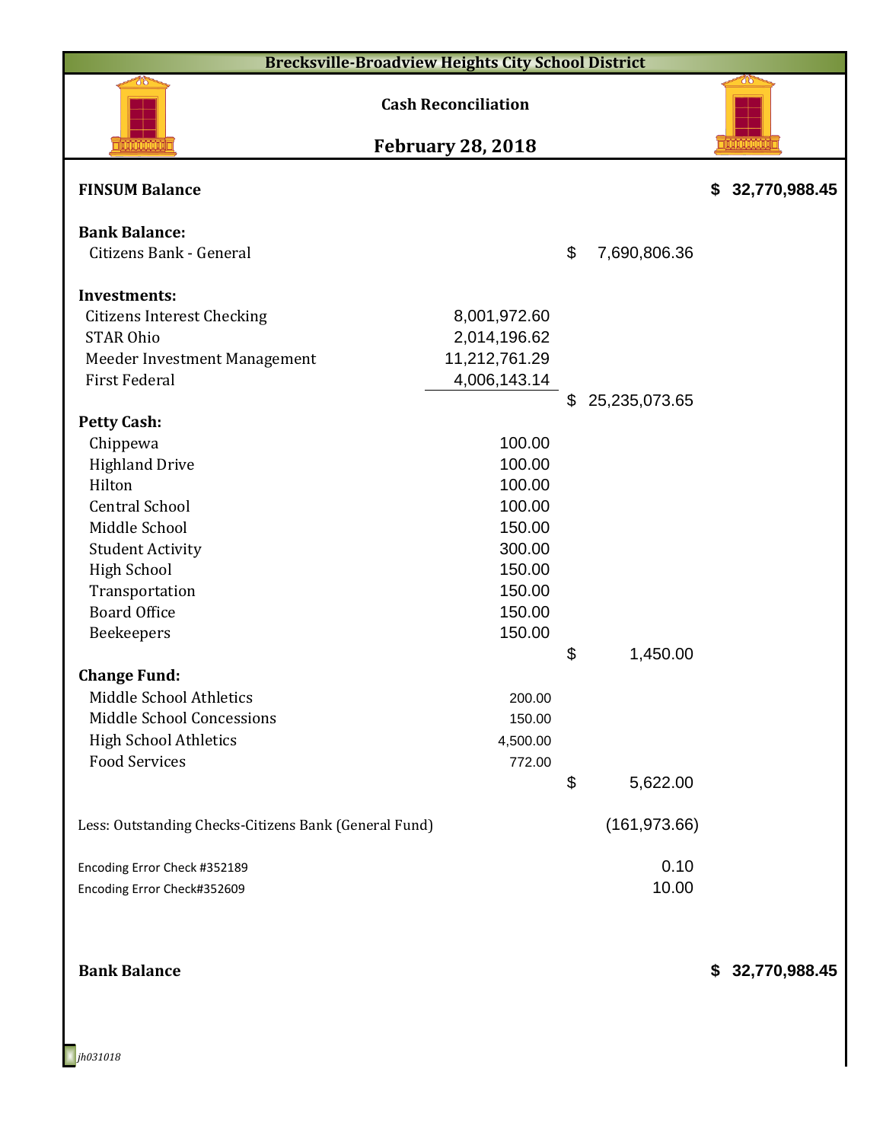| <b>Brecksville-Broadview Heights City School District</b>                                                                                                                                                           |                                                                                                  |                           |                      |                     |  |  |  |  |  |
|---------------------------------------------------------------------------------------------------------------------------------------------------------------------------------------------------------------------|--------------------------------------------------------------------------------------------------|---------------------------|----------------------|---------------------|--|--|--|--|--|
| 715                                                                                                                                                                                                                 | <b>Cash Reconciliation</b>                                                                       |                           |                      |                     |  |  |  |  |  |
|                                                                                                                                                                                                                     | <b>February 28, 2018</b>                                                                         |                           |                      |                     |  |  |  |  |  |
| <b>FINSUM Balance</b>                                                                                                                                                                                               |                                                                                                  |                           |                      | 32,770,988.45<br>\$ |  |  |  |  |  |
| <b>Bank Balance:</b><br>Citizens Bank - General                                                                                                                                                                     |                                                                                                  | $\boldsymbol{\mathsf{S}}$ | 7,690,806.36         |                     |  |  |  |  |  |
| <b>Investments:</b><br><b>Citizens Interest Checking</b><br><b>STAR Ohio</b><br>Meeder Investment Management<br><b>First Federal</b>                                                                                | 8,001,972.60<br>2,014,196.62<br>11,212,761.29<br>4,006,143.14                                    | \$                        | 25,235,073.65        |                     |  |  |  |  |  |
| <b>Petty Cash:</b><br>Chippewa<br><b>Highland Drive</b><br>Hilton<br><b>Central School</b><br>Middle School<br><b>Student Activity</b><br><b>High School</b><br>Transportation<br><b>Board Office</b><br>Beekeepers | 100.00<br>100.00<br>100.00<br>100.00<br>150.00<br>300.00<br>150.00<br>150.00<br>150.00<br>150.00 |                           |                      |                     |  |  |  |  |  |
| <b>Change Fund:</b><br>Middle School Athletics<br><b>Middle School Concessions</b><br><b>High School Athletics</b><br><b>Food Services</b>                                                                          | 200.00<br>150.00<br>4,500.00<br>772.00                                                           | \$<br>\$                  | 1,450.00<br>5,622.00 |                     |  |  |  |  |  |
| Less: Outstanding Checks-Citizens Bank (General Fund)                                                                                                                                                               |                                                                                                  |                           | (161, 973.66)        |                     |  |  |  |  |  |
| Encoding Error Check #352189<br>Encoding Error Check#352609                                                                                                                                                         |                                                                                                  |                           | 0.10<br>10.00        |                     |  |  |  |  |  |
| <b>Bank Balance</b>                                                                                                                                                                                                 |                                                                                                  |                           |                      | \$ 32,770,988.45    |  |  |  |  |  |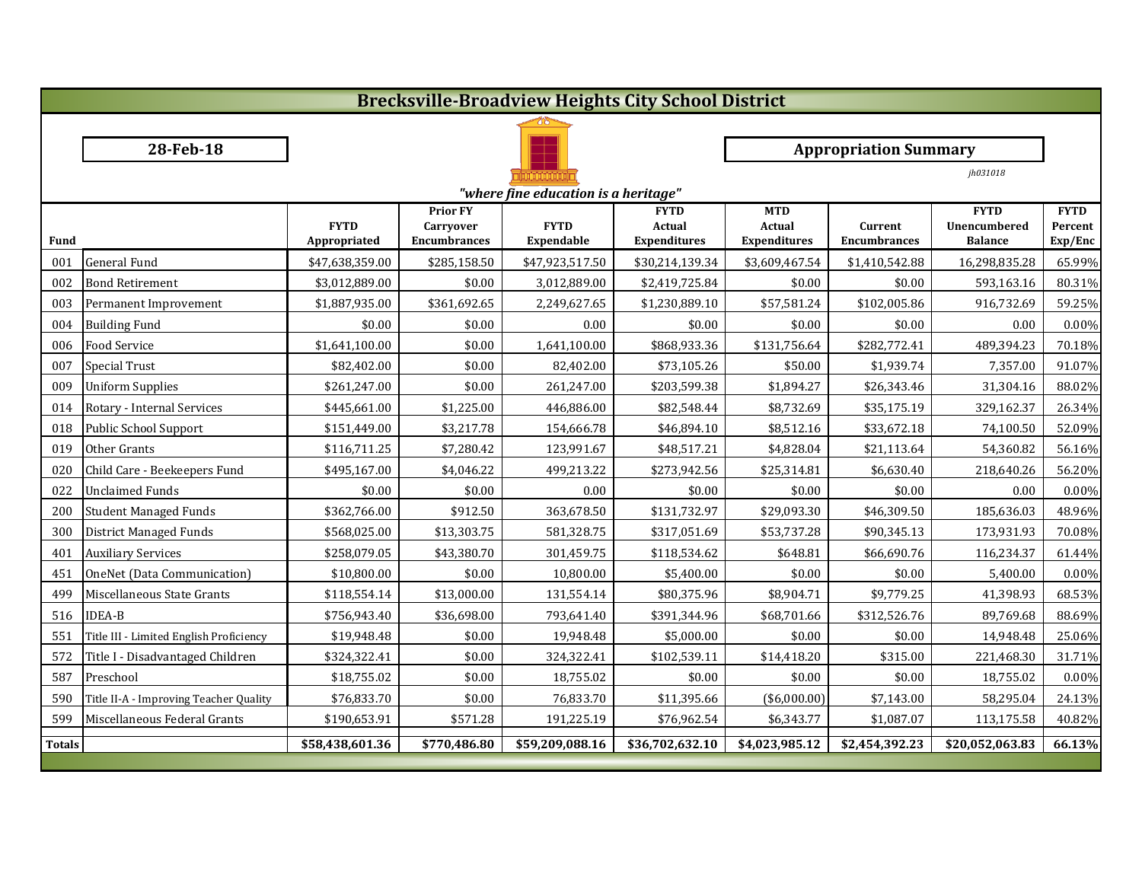| <b>Brecksville-Broadview Heights City School District</b> |                                         |                 |                                         |                 |                              |                             |                              |                             |                        |  |  |  |  |
|-----------------------------------------------------------|-----------------------------------------|-----------------|-----------------------------------------|-----------------|------------------------------|-----------------------------|------------------------------|-----------------------------|------------------------|--|--|--|--|
|                                                           |                                         |                 |                                         |                 |                              |                             |                              |                             |                        |  |  |  |  |
|                                                           | 28-Feb-18                               |                 |                                         |                 |                              |                             | <b>Appropriation Summary</b> |                             |                        |  |  |  |  |
|                                                           |                                         |                 |                                         |                 | jh031018                     |                             |                              |                             |                        |  |  |  |  |
|                                                           | "where fine education is a heritage"    |                 |                                         |                 |                              |                             |                              |                             |                        |  |  |  |  |
|                                                           |                                         | <b>FYTD</b>     | <b>Prior FY</b>                         | <b>FYTD</b>     | <b>FYTD</b><br><b>Actual</b> | <b>MTD</b><br><b>Actual</b> | <b>Current</b>               | <b>FYTD</b><br>Unencumbered | <b>FYTD</b><br>Percent |  |  |  |  |
| Fund                                                      |                                         | Appropriated    | <b>Carryover</b><br><b>Encumbrances</b> | Expendable      | <b>Expenditures</b>          | <b>Expenditures</b>         | <b>Encumbrances</b>          | <b>Balance</b>              | Exp/Enc                |  |  |  |  |
| 001                                                       | General Fund                            | \$47,638,359.00 | \$285,158.50                            | \$47,923,517.50 | \$30,214,139.34              | \$3,609,467.54              | \$1,410,542.88               | 16,298,835.28               | 65.99%                 |  |  |  |  |
| 002                                                       | <b>Bond Retirement</b>                  | \$3,012,889.00  | \$0.00                                  | 3,012,889.00    | \$2,419,725.84               | \$0.00                      | \$0.00                       | 593,163.16                  | 80.31%                 |  |  |  |  |
| 003                                                       | Permanent Improvement                   | \$1,887,935.00  | \$361,692.65                            | 2,249,627.65    | \$1,230,889.10               | \$57,581.24                 | \$102,005.86                 | 916,732.69                  | 59.25%                 |  |  |  |  |
| 004                                                       | <b>Building Fund</b>                    | \$0.00          | \$0.00                                  | 0.00            | \$0.00                       | \$0.00                      | \$0.00                       | 0.00                        | 0.00%                  |  |  |  |  |
| 006                                                       | <b>Food Service</b>                     | \$1,641,100.00  | \$0.00                                  | 1,641,100.00    | \$868,933.36                 | \$131,756.64                | \$282,772.41                 | 489,394.23                  | 70.18%                 |  |  |  |  |
| 007                                                       | Special Trust                           | \$82,402.00     | \$0.00                                  | 82,402.00       | \$73,105.26                  | \$50.00                     | \$1,939.74                   | 7,357.00                    | 91.07%                 |  |  |  |  |
| 009                                                       | <b>Uniform Supplies</b>                 | \$261,247.00    | \$0.00                                  | 261,247.00      | \$203,599.38                 | \$1,894.27                  | \$26,343.46                  | 31,304.16                   | 88.02%                 |  |  |  |  |
| 014                                                       | Rotary - Internal Services              | \$445,661.00    | \$1,225.00                              | 446,886.00      | \$82,548.44                  | \$8,732.69                  | \$35,175.19                  | 329,162.37                  | 26.34%                 |  |  |  |  |
| 018                                                       | Public School Support                   | \$151,449.00    | \$3,217.78                              | 154,666.78      | \$46,894.10                  | \$8,512.16                  | \$33,672.18                  | 74,100.50                   | 52.09%                 |  |  |  |  |
| 019                                                       | Other Grants                            | \$116,711.25    | \$7,280.42                              | 123,991.67      | \$48,517.21                  | \$4,828.04                  | \$21,113.64                  | 54,360.82                   | 56.16%                 |  |  |  |  |
| 020                                                       | Child Care - Beekeepers Fund            | \$495,167.00    | \$4,046.22                              | 499,213.22      | \$273,942.56                 | \$25,314.81                 | \$6,630.40                   | 218,640.26                  | 56.20%                 |  |  |  |  |
| 022                                                       | <b>Unclaimed Funds</b>                  | \$0.00          | \$0.00                                  | 0.00            | \$0.00                       | \$0.00                      | \$0.00                       | 0.00                        | 0.00%                  |  |  |  |  |
| 200                                                       | <b>Student Managed Funds</b>            | \$362,766.00    | \$912.50                                | 363,678.50      | \$131,732.97                 | \$29,093.30                 | \$46,309.50                  | 185,636.03                  | 48.96%                 |  |  |  |  |
| 300                                                       | District Managed Funds                  | \$568,025.00    | \$13,303.75                             | 581,328.75      | \$317,051.69                 | \$53,737.28                 | \$90,345.13                  | 173,931.93                  | 70.08%                 |  |  |  |  |
| 401                                                       | <b>Auxiliary Services</b>               | \$258,079.05    | \$43,380.70                             | 301,459.75      | \$118,534.62                 | \$648.81                    | \$66,690.76                  | 116,234.37                  | 61.44%                 |  |  |  |  |
| 451                                                       | OneNet (Data Communication)             | \$10,800.00     | \$0.00                                  | 10,800.00       | \$5,400.00                   | \$0.00                      | \$0.00                       | 5,400.00                    | 0.00%                  |  |  |  |  |
|                                                           | 499 Miscellaneous State Grants          | \$118,554.14    | \$13,000.00                             | 131,554.14      | \$80,375.96                  | \$8,904.71                  | \$9,779.25                   | 41,398.93                   | 68.53%                 |  |  |  |  |
|                                                           | 516 IDEA-B                              | \$756,943.40    | \$36,698.00                             | 793,641.40      | \$391,344.96                 | \$68,701.66                 | \$312,526.76                 | 89,769.68                   | 88.69%                 |  |  |  |  |
| 551                                                       | Title III - Limited English Proficiency | \$19,948.48     | \$0.00                                  | 19,948.48       | \$5,000.00                   | \$0.00                      | \$0.00                       | 14,948.48                   | 25.06%                 |  |  |  |  |
| 572                                                       | Title I - Disadvantaged Children        | \$324,322.41    | \$0.00                                  | 324,322.41      | \$102,539.11                 | \$14,418.20                 | \$315.00                     | 221,468.30                  | 31.71%                 |  |  |  |  |
| 587                                                       | Preschool                               | \$18,755.02     | \$0.00                                  | 18,755.02       | \$0.00                       | \$0.00                      | \$0.00                       | 18,755.02                   | 0.00%                  |  |  |  |  |
| 590                                                       | Title II-A - Improving Teacher Quality  | \$76,833.70     | \$0.00                                  | 76,833.70       | \$11,395.66                  | $(*6,000.00)$               | \$7,143.00                   | 58,295.04                   | 24.13%                 |  |  |  |  |
| 599                                                       | Miscellaneous Federal Grants            | \$190,653.91    | \$571.28                                | 191,225.19      | \$76,962.54                  | \$6,343.77                  | \$1,087.07                   | 113,175.58                  | 40.82%                 |  |  |  |  |
| <b>Totals</b>                                             |                                         | \$58,438,601.36 | \$770,486.80                            | \$59,209,088.16 | \$36,702,632.10              | \$4,023,985.12              | \$2,454,392.23               | \$20,052,063.83             | 66.13%                 |  |  |  |  |
|                                                           |                                         |                 |                                         |                 |                              |                             |                              |                             |                        |  |  |  |  |